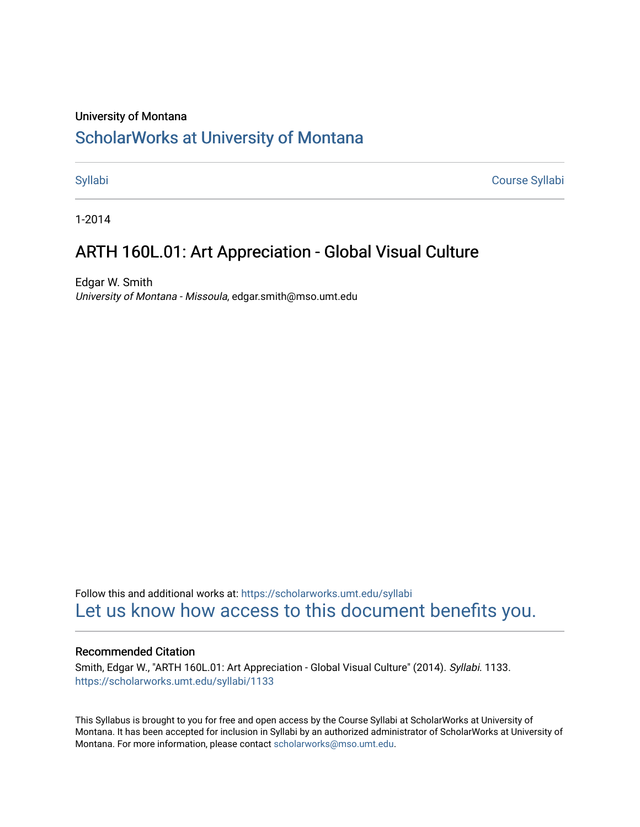## University of Montana

# [ScholarWorks at University of Montana](https://scholarworks.umt.edu/)

[Syllabi](https://scholarworks.umt.edu/syllabi) [Course Syllabi](https://scholarworks.umt.edu/course_syllabi) 

1-2014

# ARTH 160L.01: Art Appreciation - Global Visual Culture

Edgar W. Smith University of Montana - Missoula, edgar.smith@mso.umt.edu

Follow this and additional works at: [https://scholarworks.umt.edu/syllabi](https://scholarworks.umt.edu/syllabi?utm_source=scholarworks.umt.edu%2Fsyllabi%2F1133&utm_medium=PDF&utm_campaign=PDFCoverPages)  [Let us know how access to this document benefits you.](https://goo.gl/forms/s2rGfXOLzz71qgsB2) 

### Recommended Citation

Smith, Edgar W., "ARTH 160L.01: Art Appreciation - Global Visual Culture" (2014). Syllabi. 1133. [https://scholarworks.umt.edu/syllabi/1133](https://scholarworks.umt.edu/syllabi/1133?utm_source=scholarworks.umt.edu%2Fsyllabi%2F1133&utm_medium=PDF&utm_campaign=PDFCoverPages)

This Syllabus is brought to you for free and open access by the Course Syllabi at ScholarWorks at University of Montana. It has been accepted for inclusion in Syllabi by an authorized administrator of ScholarWorks at University of Montana. For more information, please contact [scholarworks@mso.umt.edu.](mailto:scholarworks@mso.umt.edu)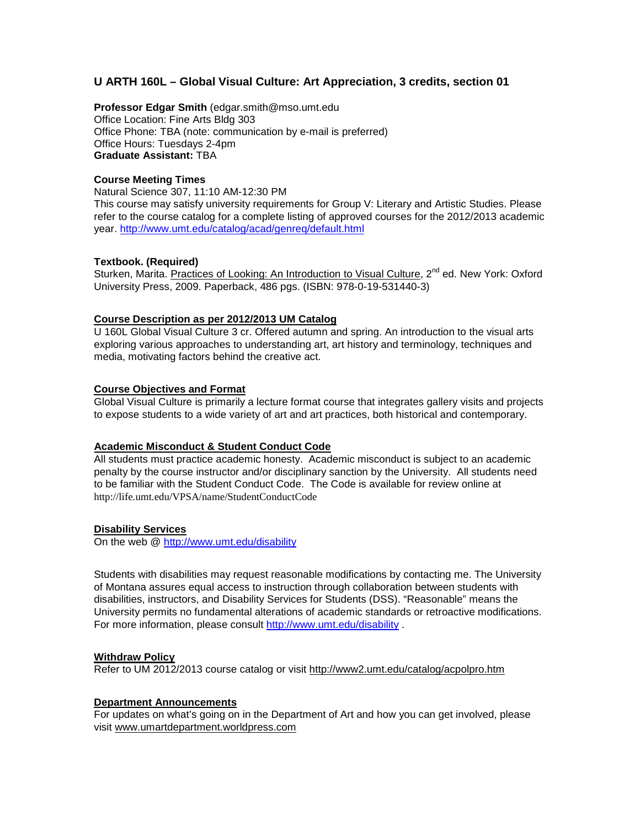# **U ARTH 160L – Global Visual Culture: Art Appreciation, 3 credits, section 01**

**Professor Edgar Smith** (edgar.smith@mso.umt.edu Office Location: Fine Arts Bldg 303 Office Phone: TBA (note: communication by e-mail is preferred) Office Hours: Tuesdays 2-4pm **Graduate Assistant:** TBA

#### **Course Meeting Times**

Natural Science 307, 11:10 AM-12:30 PM This course may satisfy university requirements for Group V: Literary and Artistic Studies. Please refer to the course catalog for a complete listing of approved courses for the 2012/2013 academic year. <http://www.umt.edu/catalog/acad/genreq/default.html>

### **Textbook. (Required)**

Sturken, Marita. Practices of Looking: An Introduction to Visual Culture, 2<sup>nd</sup> ed. New York: Oxford University Press, 2009. Paperback, 486 pgs. (ISBN: 978-0-19-531440-3)

### **Course Description as per 2012/2013 UM Catalog**

U 160L Global Visual Culture 3 cr. Offered autumn and spring. An introduction to the visual arts exploring various approaches to understanding art, art history and terminology, techniques and media, motivating factors behind the creative act.

### **Course Objectives and Format**

Global Visual Culture is primarily a lecture format course that integrates gallery visits and projects to expose students to a wide variety of art and art practices, both historical and contemporary.

#### **Academic Misconduct & Student Conduct Code**

All students must practice academic honesty. Academic misconduct is subject to an academic penalty by the course instructor and/or disciplinary sanction by the University. All students need to be familiar with the Student Conduct Code. The Code is available for review online at <http://life.umt.edu/VPSA/name/StudentConductCode>

## **Disability Services**

On the web @<http://www.umt.edu/disability>

Students with disabilities may request reasonable modifications by contacting me. The University of Montana assures equal access to instruction through collaboration between students with disabilities, instructors, and Disability Services for Students (DSS). "Reasonable" means the University permits no fundamental alterations of academic standards or retroactive modifications. For more information, please consult<http://www.umt.edu/disability> .

#### **Withdraw Policy**

Refer to UM 2012/2013 course catalog or visit<http://www2.umt.edu/catalog/acpolpro.htm>

#### **Department Announcements**

For updates on what's going on in the Department of Art and how you can get involved, please visit [www.umartdepartment.worldpress.com](http://www.umartdepartment.worldpress.com/)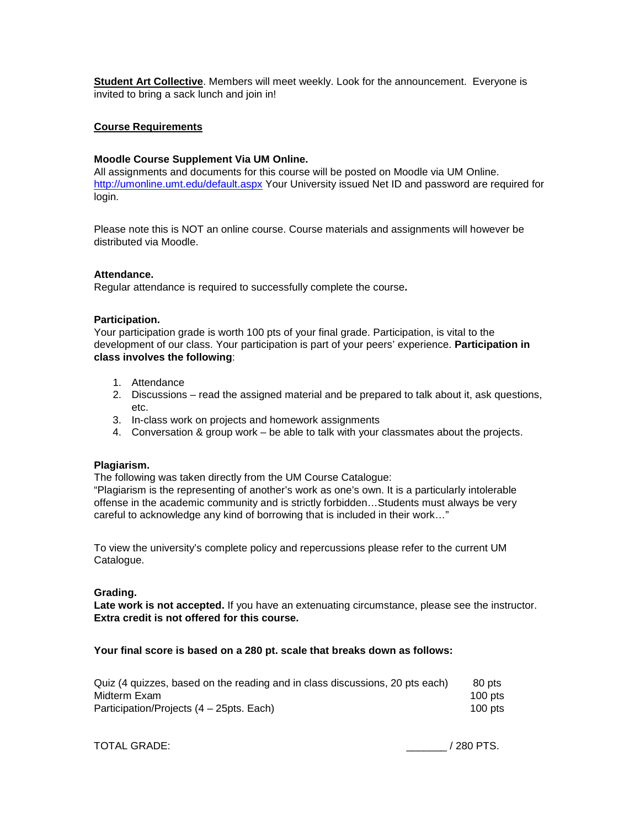**Student Art Collective**. Members will meet weekly. Look for the announcement. Everyone is invited to bring a sack lunch and join in!

#### **Course Requirements**

#### **Moodle Course Supplement Via UM Online.**

All assignments and documents for this course will be posted on Moodle via UM Online. <http://umonline.umt.edu/default.aspx> Your University issued Net ID and password are required for login.

Please note this is NOT an online course. Course materials and assignments will however be distributed via Moodle.

#### **Attendance.**

Regular attendance is required to successfully complete the course**.**

#### **Participation.**

Your participation grade is worth 100 pts of your final grade. Participation, is vital to the development of our class. Your participation is part of your peers' experience. **Participation in class involves the following**:

- 1. Attendance
- 2. Discussions read the assigned material and be prepared to talk about it, ask questions, etc.
- 3. In-class work on projects and homework assignments
- 4. Conversation & group work be able to talk with your classmates about the projects.

#### **Plagiarism.**

The following was taken directly from the UM Course Catalogue:

"Plagiarism is the representing of another's work as one's own. It is a particularly intolerable offense in the academic community and is strictly forbidden…Students must always be very careful to acknowledge any kind of borrowing that is included in their work…"

To view the university's complete policy and repercussions please refer to the current UM Catalogue.

#### **Grading.**

**Late work is not accepted.** If you have an extenuating circumstance, please see the instructor. **Extra credit is not offered for this course.**

### **Your final score is based on a 280 pt. scale that breaks down as follows:**

| Quiz (4 quizzes, based on the reading and in class discussions, 20 pts each) | 80 pts    |
|------------------------------------------------------------------------------|-----------|
| Midterm Exam                                                                 | 100 $pts$ |
| Participation/Projects (4 – 25pts. Each)                                     | 100 $pts$ |

TOTAL GRADE:  $/280$  PTS.